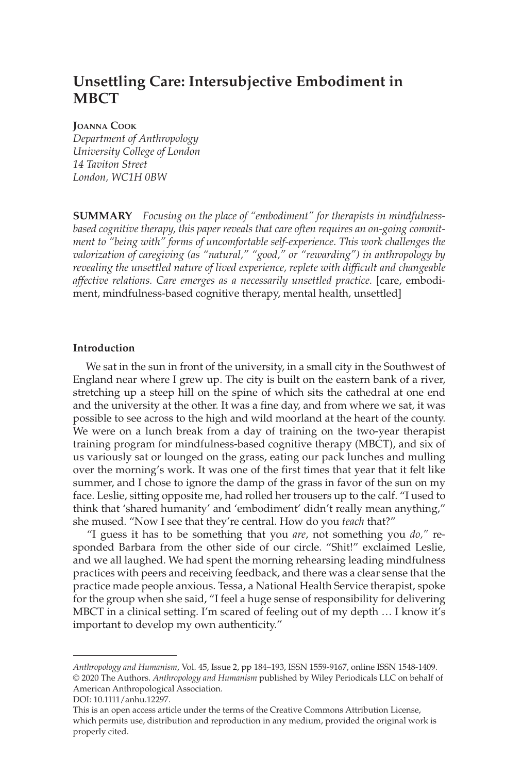# **Unsettling Care: Intersubjective Embodiment in MBCT**

# **Joanna Cook**

*Department of Anthropology University College of London 14 Taviton Street London, WC1H 0BW*

**SUMMARY** *Focusing on the place of "embodiment" for therapists in mindfulnessbased cognitive therapy, this paper reveals that care often requires an on-going commitment to "being with" forms of uncomfortable self-experience. This work challenges the valorization of caregiving (as "natural," "good," or "rewarding") in anthropology by revealing the unsettled nature of lived experience, replete with difficult and changeable affective relations. Care emerges as a necessarily unsettled practice.* [care, embodiment, mindfulness-based cognitive therapy, mental health, unsettled]

## **Introduction**

We sat in the sun in front of the university, in a small city in the Southwest of England near where I grew up. The city is built on the eastern bank of a river, stretching up a steep hill on the spine of which sits the cathedral at one end and the university at the other. It was a fine day, and from where we sat, it was possible to see across to the high and wild moorland at the heart of the county. We were on a lunch break from a day of training on the two-year therapist training program for mindfulness-based cognitive therapy (MBCT), and six of us variously sat or lounged on the grass, eating our pack lunches and mulling over the morning's work. It was one of the first times that year that it felt like summer, and I chose to ignore the damp of the grass in favor of the sun on my face. Leslie, sitting opposite me, had rolled her trousers up to the calf. "I used to think that 'shared humanity' and 'embodiment' didn't really mean anything," she mused. "Now I see that they're central. How do you *teach* that?"

"I guess it has to be something that you *are*, not something you *do,"* responded Barbara from the other side of our circle. "Shit!" exclaimed Leslie, and we all laughed. We had spent the morning rehearsing leading mindfulness practices with peers and receiving feedback, and there was a clear sense that the practice made people anxious. Tessa, a National Health Service therapist, spoke for the group when she said, "I feel a huge sense of responsibility for delivering MBCT in a clinical setting. I'm scared of feeling out of my depth … I know it's important to develop my own authenticity."

*Anthropology and Humanism*, Vol. 45, Issue 2, pp 184–193, ISSN 1559-9167, online ISSN 1548-1409. © 2020 The Authors. *Anthropology and Humanism* published by Wiley Periodicals LLC on behalf of American Anthropological Association.

DOI: 10.1111/anhu.12297.

This is an open access article under the terms of the [Creative Commons Attribution](http://creativecommons.org/licenses/by/4.0/) License, which permits use, distribution and reproduction in any medium, provided the original work is properly cited.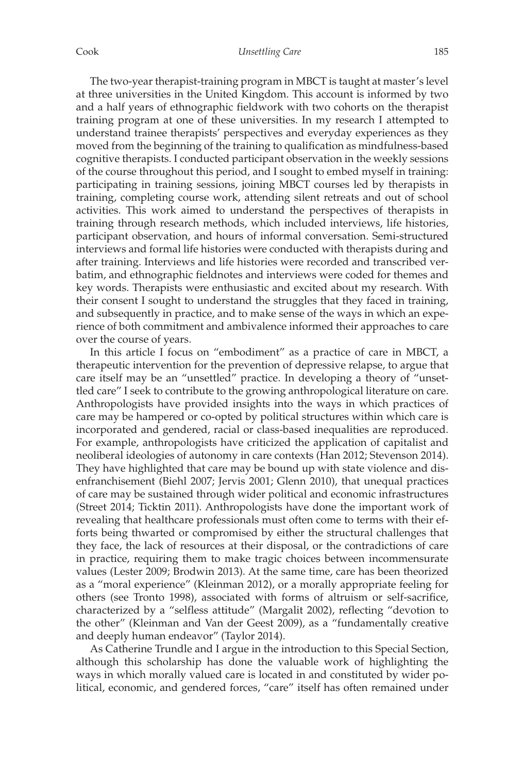The two-year therapist-training program in MBCT is taught at master's level at three universities in the United Kingdom. This account is informed by two and a half years of ethnographic fieldwork with two cohorts on the therapist training program at one of these universities. In my research I attempted to understand trainee therapists' perspectives and everyday experiences as they moved from the beginning of the training to qualification as mindfulness-based cognitive therapists. I conducted participant observation in the weekly sessions of the course throughout this period, and I sought to embed myself in training: participating in training sessions, joining MBCT courses led by therapists in training, completing course work, attending silent retreats and out of school activities. This work aimed to understand the perspectives of therapists in training through research methods, which included interviews, life histories, participant observation, and hours of informal conversation. Semi-structured interviews and formal life histories were conducted with therapists during and after training. Interviews and life histories were recorded and transcribed verbatim, and ethnographic fieldnotes and interviews were coded for themes and key words. Therapists were enthusiastic and excited about my research. With their consent I sought to understand the struggles that they faced in training, and subsequently in practice, and to make sense of the ways in which an experience of both commitment and ambivalence informed their approaches to care over the course of years.

In this article I focus on "embodiment" as a practice of care in MBCT, a therapeutic intervention for the prevention of depressive relapse, to argue that care itself may be an "unsettled" practice. In developing a theory of "unsettled care" I seek to contribute to the growing anthropological literature on care. Anthropologists have provided insights into the ways in which practices of care may be hampered or co-opted by political structures within which care is incorporated and gendered, racial or class-based inequalities are reproduced. For example, anthropologists have criticized the application of capitalist and neoliberal ideologies of autonomy in care contexts (Han 2012; Stevenson 2014). They have highlighted that care may be bound up with state violence and disenfranchisement (Biehl 2007; Jervis 2001; Glenn 2010), that unequal practices of care may be sustained through wider political and economic infrastructures (Street 2014; Ticktin 2011). Anthropologists have done the important work of revealing that healthcare professionals must often come to terms with their efforts being thwarted or compromised by either the structural challenges that they face, the lack of resources at their disposal, or the contradictions of care in practice, requiring them to make tragic choices between incommensurate values (Lester 2009; Brodwin 2013). At the same time, care has been theorized as a "moral experience" (Kleinman 2012), or a morally appropriate feeling for others (see Tronto 1998), associated with forms of altruism or self-sacrifice, characterized by a "selfless attitude" (Margalit 2002), reflecting "devotion to the other" (Kleinman and Van der Geest 2009), as a "fundamentally creative and deeply human endeavor" (Taylor 2014).

As Catherine Trundle and I argue in the introduction to this Special Section, although this scholarship has done the valuable work of highlighting the ways in which morally valued care is located in and constituted by wider political, economic, and gendered forces, "care" itself has often remained under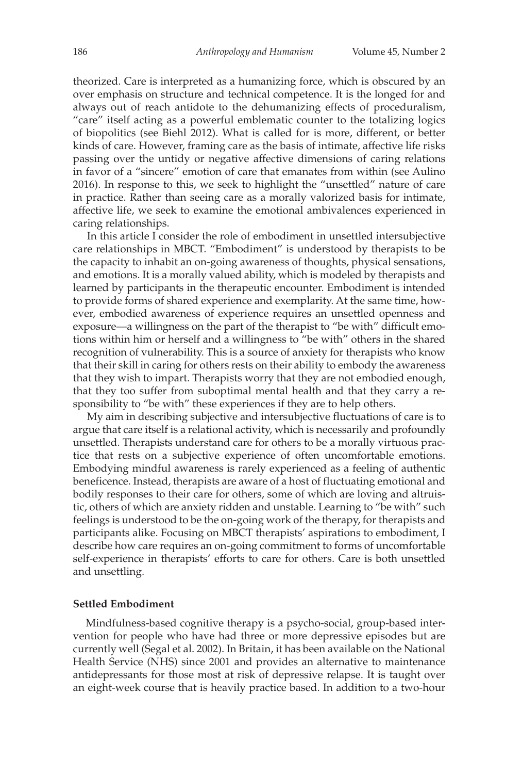theorized. Care is interpreted as a humanizing force, which is obscured by an over emphasis on structure and technical competence. It is the longed for and always out of reach antidote to the dehumanizing effects of proceduralism, "care" itself acting as a powerful emblematic counter to the totalizing logics of biopolitics (see Biehl 2012). What is called for is more, different, or better kinds of care. However, framing care as the basis of intimate, affective life risks passing over the untidy or negative affective dimensions of caring relations in favor of a "sincere" emotion of care that emanates from within (see Aulino 2016). In response to this, we seek to highlight the "unsettled" nature of care in practice. Rather than seeing care as a morally valorized basis for intimate, affective life, we seek to examine the emotional ambivalences experienced in caring relationships.

In this article I consider the role of embodiment in unsettled intersubjective care relationships in MBCT. "Embodiment" is understood by therapists to be the capacity to inhabit an on-going awareness of thoughts, physical sensations, and emotions. It is a morally valued ability, which is modeled by therapists and learned by participants in the therapeutic encounter. Embodiment is intended to provide forms of shared experience and exemplarity. At the same time, however, embodied awareness of experience requires an unsettled openness and exposure—a willingness on the part of the therapist to "be with" difficult emotions within him or herself and a willingness to "be with" others in the shared recognition of vulnerability. This is a source of anxiety for therapists who know that their skill in caring for others rests on their ability to embody the awareness that they wish to impart. Therapists worry that they are not embodied enough, that they too suffer from suboptimal mental health and that they carry a responsibility to "be with" these experiences if they are to help others.

My aim in describing subjective and intersubjective fluctuations of care is to argue that care itself is a relational activity, which is necessarily and profoundly unsettled. Therapists understand care for others to be a morally virtuous practice that rests on a subjective experience of often uncomfortable emotions. Embodying mindful awareness is rarely experienced as a feeling of authentic beneficence. Instead, therapists are aware of a host of fluctuating emotional and bodily responses to their care for others, some of which are loving and altruistic, others of which are anxiety ridden and unstable. Learning to "be with" such feelings is understood to be the on-going work of the therapy, for therapists and participants alike. Focusing on MBCT therapists' aspirations to embodiment, I describe how care requires an on-going commitment to forms of uncomfortable self-experience in therapists' efforts to care for others. Care is both unsettled and unsettling.

### **Settled Embodiment**

Mindfulness-based cognitive therapy is a psycho-social, group-based intervention for people who have had three or more depressive episodes but are currently well (Segal et al. 2002). In Britain, it has been available on the National Health Service (NHS) since 2001 and provides an alternative to maintenance antidepressants for those most at risk of depressive relapse. It is taught over an eight-week course that is heavily practice based. In addition to a two-hour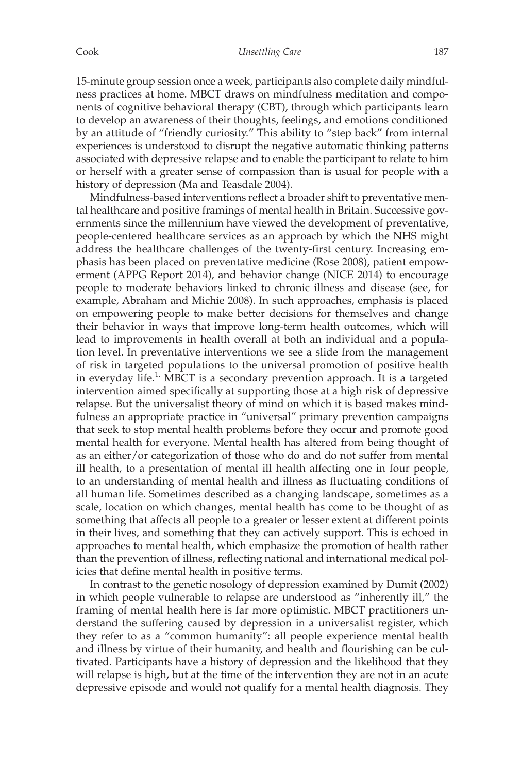15-minute group session once a week, participants also complete daily mindfulness practices at home. MBCT draws on mindfulness meditation and components of cognitive behavioral therapy (CBT), through which participants learn to develop an awareness of their thoughts, feelings, and emotions conditioned by an attitude of "friendly curiosity." This ability to "step back" from internal experiences is understood to disrupt the negative automatic thinking patterns associated with depressive relapse and to enable the participant to relate to him or herself with a greater sense of compassion than is usual for people with a history of depression (Ma and Teasdale 2004).

Mindfulness-based interventions reflect a broader shift to preventative mental healthcare and positive framings of mental health in Britain. Successive governments since the millennium have viewed the development of preventative, people-centered healthcare services as an approach by which the NHS might address the healthcare challenges of the twenty-first century. Increasing emphasis has been placed on preventative medicine (Rose 2008), patient empowerment (APPG Report 2014), and behavior change (NICE 2014) to encourage people to moderate behaviors linked to chronic illness and disease (see, for example, Abraham and Michie 2008). In such approaches, emphasis is placed on empowering people to make better decisions for themselves and change their behavior in ways that improve long-term health outcomes, which will lead to improvements in health overall at both an individual and a population level. In preventative interventions we see a slide from the management of risk in targeted populations to the universal promotion of positive health in everyday life.<sup>1</sup>. MBCT is a secondary prevention approach. It is a targeted intervention aimed specifically at supporting those at a high risk of depressive relapse. But the universalist theory of mind on which it is based makes mindfulness an appropriate practice in "universal" primary prevention campaigns that seek to stop mental health problems before they occur and promote good mental health for everyone. Mental health has altered from being thought of as an either/or categorization of those who do and do not suffer from mental ill health, to a presentation of mental ill health affecting one in four people, to an understanding of mental health and illness as fluctuating conditions of all human life. Sometimes described as a changing landscape, sometimes as a scale, location on which changes, mental health has come to be thought of as something that affects all people to a greater or lesser extent at different points in their lives, and something that they can actively support. This is echoed in approaches to mental health, which emphasize the promotion of health rather than the prevention of illness, reflecting national and international medical policies that define mental health in positive terms.

In contrast to the genetic nosology of depression examined by Dumit (2002) in which people vulnerable to relapse are understood as "inherently ill," the framing of mental health here is far more optimistic. MBCT practitioners understand the suffering caused by depression in a universalist register, which they refer to as a "common humanity": all people experience mental health and illness by virtue of their humanity, and health and flourishing can be cultivated. Participants have a history of depression and the likelihood that they will relapse is high, but at the time of the intervention they are not in an acute depressive episode and would not qualify for a mental health diagnosis. They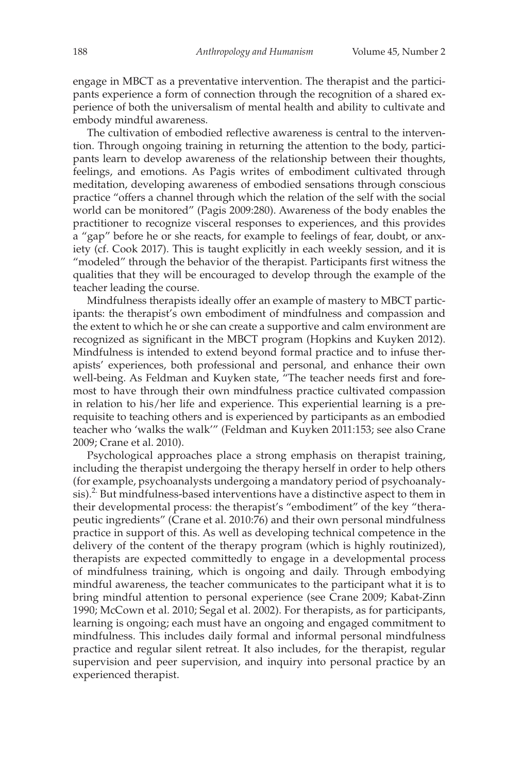engage in MBCT as a preventative intervention. The therapist and the participants experience a form of connection through the recognition of a shared experience of both the universalism of mental health and ability to cultivate and embody mindful awareness.

The cultivation of embodied reflective awareness is central to the intervention. Through ongoing training in returning the attention to the body, participants learn to develop awareness of the relationship between their thoughts, feelings, and emotions. As Pagis writes of embodiment cultivated through meditation, developing awareness of embodied sensations through conscious practice "offers a channel through which the relation of the self with the social world can be monitored" (Pagis 2009:280). Awareness of the body enables the practitioner to recognize visceral responses to experiences, and this provides a "gap" before he or she reacts, for example to feelings of fear, doubt, or anxiety (cf. Cook 2017). This is taught explicitly in each weekly session, and it is "modeled" through the behavior of the therapist. Participants first witness the qualities that they will be encouraged to develop through the example of the teacher leading the course.

Mindfulness therapists ideally offer an example of mastery to MBCT participants: the therapist's own embodiment of mindfulness and compassion and the extent to which he or she can create a supportive and calm environment are recognized as significant in the MBCT program (Hopkins and Kuyken 2012). Mindfulness is intended to extend beyond formal practice and to infuse therapists' experiences, both professional and personal, and enhance their own well-being. As Feldman and Kuyken state, "The teacher needs first and foremost to have through their own mindfulness practice cultivated compassion in relation to his/her life and experience. This experiential learning is a prerequisite to teaching others and is experienced by participants as an embodied teacher who 'walks the walk'" (Feldman and Kuyken 2011:153; see also Crane 2009; Crane et al. 2010).

Psychological approaches place a strong emphasis on therapist training, including the therapist undergoing the therapy herself in order to help others (for example, psychoanalysts undergoing a mandatory period of psychoanalysis). $^2$  But mindfulness-based interventions have a distinctive aspect to them in their developmental process: the therapist's "embodiment" of the key "therapeutic ingredients" (Crane et al. 2010:76) and their own personal mindfulness practice in support of this. As well as developing technical competence in the delivery of the content of the therapy program (which is highly routinized), therapists are expected committedly to engage in a developmental process of mindfulness training, which is ongoing and daily. Through embodying mindful awareness, the teacher communicates to the participant what it is to bring mindful attention to personal experience (see Crane 2009; Kabat-Zinn 1990; McCown et al. 2010; Segal et al. 2002). For therapists, as for participants, learning is ongoing; each must have an ongoing and engaged commitment to mindfulness. This includes daily formal and informal personal mindfulness practice and regular silent retreat. It also includes, for the therapist, regular supervision and peer supervision, and inquiry into personal practice by an experienced therapist.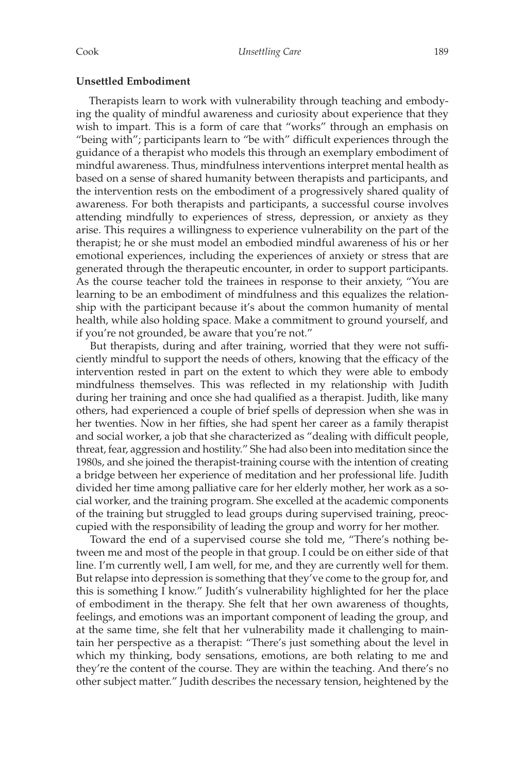## **Unsettled Embodiment**

Therapists learn to work with vulnerability through teaching and embodying the quality of mindful awareness and curiosity about experience that they wish to impart. This is a form of care that "works" through an emphasis on "being with"; participants learn to "be with" difficult experiences through the guidance of a therapist who models this through an exemplary embodiment of mindful awareness. Thus, mindfulness interventions interpret mental health as based on a sense of shared humanity between therapists and participants, and the intervention rests on the embodiment of a progressively shared quality of awareness. For both therapists and participants, a successful course involves attending mindfully to experiences of stress, depression, or anxiety as they arise. This requires a willingness to experience vulnerability on the part of the therapist; he or she must model an embodied mindful awareness of his or her emotional experiences, including the experiences of anxiety or stress that are generated through the therapeutic encounter, in order to support participants. As the course teacher told the trainees in response to their anxiety, "You are learning to be an embodiment of mindfulness and this equalizes the relationship with the participant because it's about the common humanity of mental health, while also holding space. Make a commitment to ground yourself, and if you're not grounded, be aware that you're not."

But therapists, during and after training, worried that they were not sufficiently mindful to support the needs of others, knowing that the efficacy of the intervention rested in part on the extent to which they were able to embody mindfulness themselves. This was reflected in my relationship with Judith during her training and once she had qualified as a therapist. Judith, like many others, had experienced a couple of brief spells of depression when she was in her twenties. Now in her fifties, she had spent her career as a family therapist and social worker, a job that she characterized as "dealing with difficult people, threat, fear, aggression and hostility." She had also been into meditation since the 1980s, and she joined the therapist-training course with the intention of creating a bridge between her experience of meditation and her professional life. Judith divided her time among palliative care for her elderly mother, her work as a social worker, and the training program. She excelled at the academic components of the training but struggled to lead groups during supervised training, preoccupied with the responsibility of leading the group and worry for her mother.

Toward the end of a supervised course she told me, "There's nothing between me and most of the people in that group. I could be on either side of that line. I'm currently well, I am well, for me, and they are currently well for them. But relapse into depression is something that they've come to the group for, and this is something I know." Judith's vulnerability highlighted for her the place of embodiment in the therapy. She felt that her own awareness of thoughts, feelings, and emotions was an important component of leading the group, and at the same time, she felt that her vulnerability made it challenging to maintain her perspective as a therapist: "There's just something about the level in which my thinking, body sensations, emotions, are both relating to me and they're the content of the course. They are within the teaching. And there's no other subject matter." Judith describes the necessary tension, heightened by the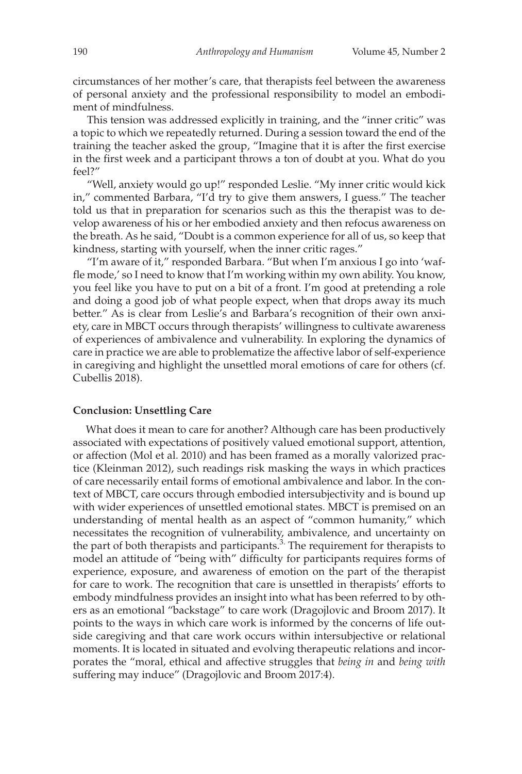circumstances of her mother's care, that therapists feel between the awareness of personal anxiety and the professional responsibility to model an embodiment of mindfulness.

This tension was addressed explicitly in training, and the "inner critic" was a topic to which we repeatedly returned. During a session toward the end of the training the teacher asked the group, "Imagine that it is after the first exercise in the first week and a participant throws a ton of doubt at you. What do you feel?"

"Well, anxiety would go up!" responded Leslie. "My inner critic would kick in," commented Barbara, "I'd try to give them answers, I guess." The teacher told us that in preparation for scenarios such as this the therapist was to develop awareness of his or her embodied anxiety and then refocus awareness on the breath. As he said, "Doubt is a common experience for all of us, so keep that kindness, starting with yourself, when the inner critic rages."

"I'm aware of it," responded Barbara. "But when I'm anxious I go into 'waffle mode,' so I need to know that I'm working within my own ability. You know, you feel like you have to put on a bit of a front. I'm good at pretending a role and doing a good job of what people expect, when that drops away its much better." As is clear from Leslie's and Barbara's recognition of their own anxiety, care in MBCT occurs through therapists' willingness to cultivate awareness of experiences of ambivalence and vulnerability. In exploring the dynamics of care in practice we are able to problematize the affective labor of self-experience in caregiving and highlight the unsettled moral emotions of care for others (cf. Cubellis 2018).

### **Conclusion: Unsettling Care**

What does it mean to care for another? Although care has been productively associated with expectations of positively valued emotional support, attention, or affection (Mol et al. 2010) and has been framed as a morally valorized practice (Kleinman 2012), such readings risk masking the ways in which practices of care necessarily entail forms of emotional ambivalence and labor. In the context of MBCT, care occurs through embodied intersubjectivity and is bound up with wider experiences of unsettled emotional states. MBCT is premised on an understanding of mental health as an aspect of "common humanity," which necessitates the recognition of vulnerability, ambivalence, and uncertainty on the part of both therapists and participants.<sup>3.</sup> The requirement for therapists to model an attitude of "being with" difficulty for participants requires forms of experience, exposure, and awareness of emotion on the part of the therapist for care to work. The recognition that care is unsettled in therapists' efforts to embody mindfulness provides an insight into what has been referred to by others as an emotional "backstage" to care work (Dragojlovic and Broom 2017). It points to the ways in which care work is informed by the concerns of life outside caregiving and that care work occurs within intersubjective or relational moments. It is located in situated and evolving therapeutic relations and incorporates the "moral, ethical and affective struggles that *being in* and *being with* suffering may induce" (Dragojlovic and Broom 2017:4).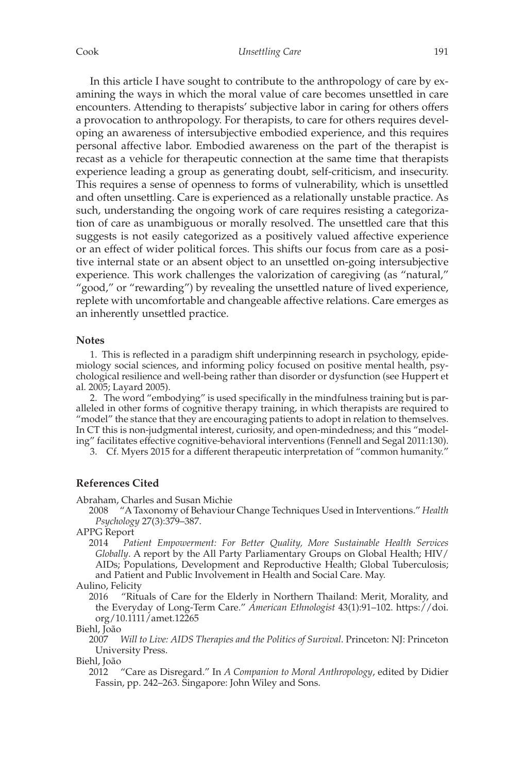In this article I have sought to contribute to the anthropology of care by examining the ways in which the moral value of care becomes unsettled in care encounters. Attending to therapists' subjective labor in caring for others offers a provocation to anthropology. For therapists, to care for others requires developing an awareness of intersubjective embodied experience, and this requires personal affective labor. Embodied awareness on the part of the therapist is recast as a vehicle for therapeutic connection at the same time that therapists experience leading a group as generating doubt, self-criticism, and insecurity. This requires a sense of openness to forms of vulnerability, which is unsettled and often unsettling. Care is experienced as a relationally unstable practice. As such, understanding the ongoing work of care requires resisting a categorization of care as unambiguous or morally resolved. The unsettled care that this suggests is not easily categorized as a positively valued affective experience or an effect of wider political forces. This shifts our focus from care as a positive internal state or an absent object to an unsettled on-going intersubjective experience. This work challenges the valorization of caregiving (as "natural," "good," or "rewarding") by revealing the unsettled nature of lived experience, replete with uncomfortable and changeable affective relations. Care emerges as an inherently unsettled practice.

## **Notes**

1. This is reflected in a paradigm shift underpinning research in psychology, epidemiology social sciences, and informing policy focused on positive mental health, psychological resilience and well-being rather than disorder or dysfunction (see Huppert et al. 2005; Layard 2005).

2. The word "embodying" is used specifically in the mindfulness training but is paralleled in other forms of cognitive therapy training, in which therapists are required to "model" the stance that they are encouraging patients to adopt in relation to themselves. In CT this is non-judgmental interest, curiosity, and open-mindedness; and this "modeling" facilitates effective cognitive-behavioral interventions (Fennell and Segal 2011:130).

3. Cf. Myers 2015 for a different therapeutic interpretation of "common humanity."

# **References Cited**

Abraham, Charles and Susan Michie

2008 "A Taxonomy of Behaviour Change Techniques Used in Interventions." *Health Psychology* 27(3):379–387.

APPG Report

2014 *Patient Empowerment: For Better Quality, More Sustainable Health Services Globally*. A report by the All Party Parliamentary Groups on Global Health; HIV/ AIDs; Populations, Development and Reproductive Health; Global Tuberculosis; and Patient and Public Involvement in Health and Social Care. May.

Aulino, Felicity

2016 "Rituals of Care for the Elderly in Northern Thailand: Merit, Morality, and the Everyday of Long-Term Care." *American Ethnologist* 43(1):91–102. [https://doi.](https://doi.org/10.1111/amet.12265) [org/10.1111/amet.12265](https://doi.org/10.1111/amet.12265)

Biehl, João

2007 *Will to Live: AIDS Therapies and the Politics of Survival*. Princeton: NJ: Princeton University Press.

Biehl, João

2012 "Care as Disregard." In *A Companion to Moral Anthropology*, edited by Didier Fassin, pp. 242–263. Singapore: John Wiley and Sons.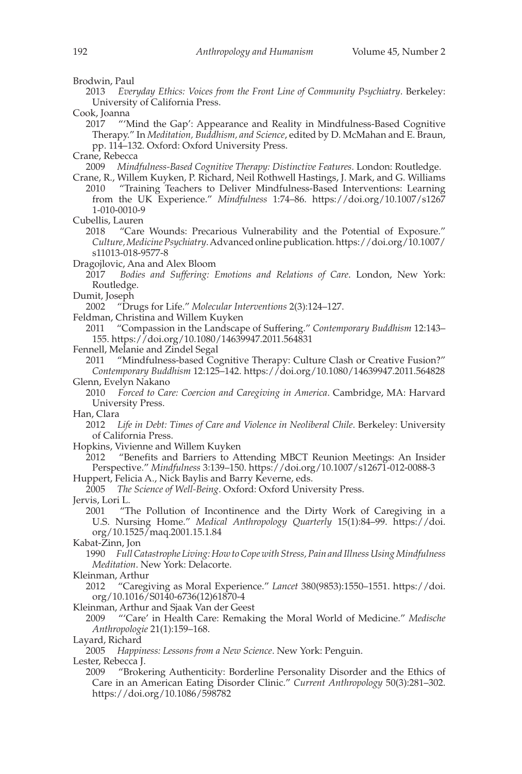Brodwin, Paul

2013 *Everyday Ethics: Voices from the Front Line of Community Psychiatry*. Berkeley: University of California Press.

Cook, Joanna

"'Mind the Gap': Appearance and Reality in Mindfulness-Based Cognitive Therapy." In *Meditation, Buddhism, and Science*, edited by D. McMahan and E. Braun, pp. 114–132. Oxford: Oxford University Press.

Crane, Rebecca

2009 *Mindfulness-Based Cognitive Therapy: Distinctive Features*. London: Routledge.

Crane, R., Willem Kuyken, P. Richard, Neil Rothwell Hastings, J. Mark, and G. Williams 2010 "Training Teachers to Deliver Mindfulness-Based Interventions: Learning from the UK Experience." *Mindfulness* 1:74–86. [https://doi.org/10.1007/s1267](https://doi.org/10.1007/s12671-010-0010-9) [1-010-0010-9](https://doi.org/10.1007/s12671-010-0010-9)

Cubellis, Lauren

2018 "Care Wounds: Precarious Vulnerability and the Potential of Exposure." *Culture, Medicine Psychiatry*. Advanced online publication. [https://doi.org/10.1007/](https://doi.org/10.1007/s11013-018-9577-8) [s11013-018-9577-8](https://doi.org/10.1007/s11013-018-9577-8)

Dragojlovic, Ana and Alex Bloom

2017 *Bodies and Suffering: Emotions and Relations of Care*. London, New York: Routledge.

Dumit, Joseph

2002 "Drugs for Life." *Molecular Interventions* 2(3):124–127.

Feldman, Christina and Willem Kuyken

2011 "Compassion in the Landscape of Suffering." *Contemporary Buddhism* 12:143– 155.<https://doi.org/10.1080/14639947.2011.564831>

Fennell, Melanie and Zindel Segal

2011 "Mindfulness-based Cognitive Therapy: Culture Clash or Creative Fusion?" *Contemporary Buddhism* 12:125–142.<https://doi.org/10.1080/14639947.2011.564828> Glenn, Evelyn Nakano

2010 *Forced to Care: Coercion and Caregiving in America*. Cambridge, MA: Harvard University Press.

Han, Clara

2012 *Life in Debt: Times of Care and Violence in Neoliberal Chile*. Berkeley: University of California Press.

Hopkins, Vivienne and Willem Kuyken

2012 "Benefits and Barriers to Attending MBCT Reunion Meetings: An Insider Perspective." *Mindfulness* 3:139–150. <https://doi.org/10.1007/s12671-012-0088-3>

Huppert, Felicia A., Nick Baylis and Barry Keverne, eds.

2005 *The Science of Well-Being*. Oxford: Oxford University Press.

Jervis, Lori L.

2001 "The Pollution of Incontinence and the Dirty Work of Caregiving in a U.S. Nursing Home." *Medical Anthropology Quarterly* 15(1):84–99. [https://doi.](https://doi.org/10.1525/maq.2001.15.1.84) [org/10.1525/maq.2001.15.1.84](https://doi.org/10.1525/maq.2001.15.1.84)

Kabat-Zinn, Jon

1990 *Full Catastrophe Living: How to Cope with Stress, Pain and Illness Using Mindfulness Meditation*. New York: Delacorte.

Kleinman, Arthur

2012 "Caregiving as Moral Experience." *Lancet* 380(9853):1550–1551. [https://doi.](https://doi.org/10.1016/S0140-6736(12)61870-4) [org/10.1016/S0140-6736\(12\)61870-4](https://doi.org/10.1016/S0140-6736(12)61870-4)

Kleinman, Arthur and Sjaak Van der Geest

2009 "'Care' in Health Care: Remaking the Moral World of Medicine." *Medische Anthropologie* 21(1):159–168.

Layard, Richard

2005 *Happiness: Lessons from a New Science*. New York: Penguin.

Lester, Rebecca J.<br>2009 "Broke

"Brokering Authenticity: Borderline Personality Disorder and the Ethics of Care in an American Eating Disorder Clinic." *Current Anthropology* 50(3):281–302. <https://doi.org/10.1086/598782>